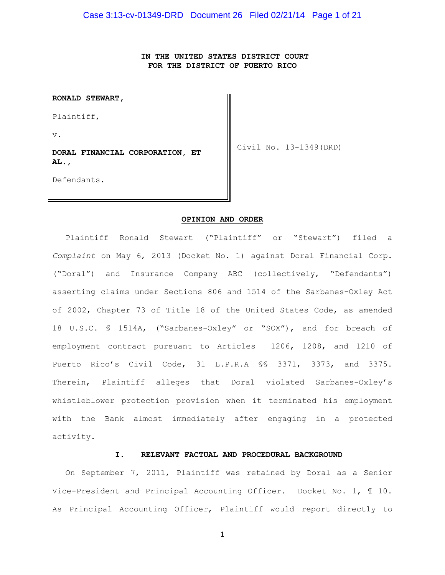**IN THE UNITED STATES DISTRICT COURT FOR THE DISTRICT OF PUERTO RICO**

**RONALD STEWART,**

Plaintiff,

v.

**DORAL FINANCIAL CORPORATION, ET AL.,**

Civil No. 13-1349(DRD)

Defendants.

#### **OPINION AND ORDER**

Plaintiff Ronald Stewart ("Plaintiff" or "Stewart") filed a *Complaint* on May 6, 2013 (Docket No. 1) against Doral Financial Corp. ("Doral") and Insurance Company ABC (collectively, "Defendants") asserting claims under Sections 806 and 1514 of the Sarbanes-Oxley Act of 2002, Chapter 73 of Title 18 of the United States Code, as amended 18 U.S.C. § 1514A, ("Sarbanes-Oxley" or "SOX"), and for breach of employment contract pursuant to Articles 1206, 1208, and 1210 of Puerto Rico's Civil Code, 31 L.P.R.A §§ 3371, 3373, and 3375. Therein, Plaintiff alleges that Doral violated Sarbanes-Oxley's whistleblower protection provision when it terminated his employment with the Bank almost immediately after engaging in a protected activity.

#### **I. RELEVANT FACTUAL AND PROCEDURAL BACKGROUND**

On September 7, 2011, Plaintiff was retained by Doral as a Senior Vice-President and Principal Accounting Officer. Docket No. 1, ¶ 10. As Principal Accounting Officer, Plaintiff would report directly to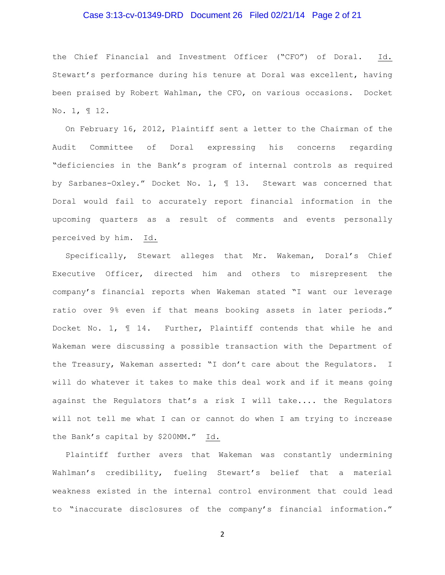# Case 3:13-cv-01349-DRD Document 26 Filed 02/21/14 Page 2 of 21

the Chief Financial and Investment Officer ("CFO") of Doral. Id. Stewart's performance during his tenure at Doral was excellent, having been praised by Robert Wahlman, the CFO, on various occasions. Docket No. 1, ¶ 12.

On February 16, 2012, Plaintiff sent a letter to the Chairman of the Audit Committee of Doral expressing his concerns regarding "deficiencies in the Bank's program of internal controls as required by Sarbanes-Oxley." Docket No. 1, ¶ 13. Stewart was concerned that Doral would fail to accurately report financial information in the upcoming quarters as a result of comments and events personally perceived by him. Id.

Specifically, Stewart alleges that Mr. Wakeman, Doral's Chief Executive Officer, directed him and others to misrepresent the company's financial reports when Wakeman stated "I want our leverage ratio over 9% even if that means booking assets in later periods." Docket No. 1, ¶ 14. Further, Plaintiff contends that while he and Wakeman were discussing a possible transaction with the Department of the Treasury, Wakeman asserted: "I don't care about the Regulators. I will do whatever it takes to make this deal work and if it means going against the Regulators that's a risk I will take.... the Regulators will not tell me what I can or cannot do when I am trying to increase the Bank's capital by \$200MM." Id.

Plaintiff further avers that Wakeman was constantly undermining Wahlman's credibility, fueling Stewart's belief that a material weakness existed in the internal control environment that could lead to "inaccurate disclosures of the company's financial information."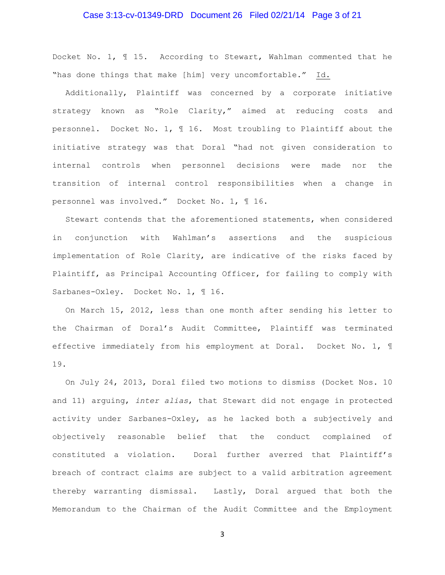# Case 3:13-cv-01349-DRD Document 26 Filed 02/21/14 Page 3 of 21

Docket No. 1, ¶ 15. According to Stewart, Wahlman commented that he "has done things that make [him] very uncomfortable." Id.

Additionally, Plaintiff was concerned by a corporate initiative strategy known as "Role Clarity," aimed at reducing costs and personnel. Docket No. 1, ¶ 16. Most troubling to Plaintiff about the initiative strategy was that Doral "had not given consideration to internal controls when personnel decisions were made nor the transition of internal control responsibilities when a change in personnel was involved." Docket No. 1, ¶ 16.

Stewart contends that the aforementioned statements, when considered in conjunction with Wahlman's assertions and the suspicious implementation of Role Clarity, are indicative of the risks faced by Plaintiff, as Principal Accounting Officer, for failing to comply with Sarbanes-Oxley. Docket No. 1, 116.

On March 15, 2012, less than one month after sending his letter to the Chairman of Doral's Audit Committee, Plaintiff was terminated effective immediately from his employment at Doral. Docket No. 1, ¶ 19.

On July 24, 2013, Doral filed two motions to dismiss (Docket Nos. 10 and 11) arguing, *inter alias*, that Stewart did not engage in protected activity under Sarbanes-Oxley, as he lacked both a subjectively and objectively reasonable belief that the conduct complained of constituted a violation. Doral further averred that Plaintiff's breach of contract claims are subject to a valid arbitration agreement thereby warranting dismissal. Lastly, Doral argued that both the Memorandum to the Chairman of the Audit Committee and the Employment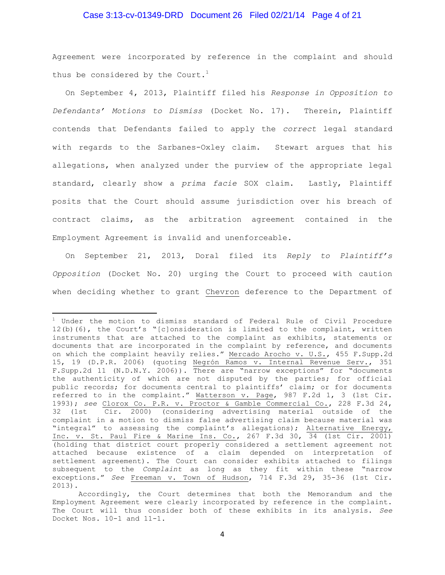# Case 3:13-cv-01349-DRD Document 26 Filed 02/21/14 Page 4 of 21

Agreement were incorporated by reference in the complaint and should thus be considered by the Court.<sup>1</sup>

On September 4, 2013, Plaintiff filed his *Response in Opposition to Defendants' Motions to Dismiss* (Docket No. 17). Therein, Plaintiff contends that Defendants failed to apply the *correct* legal standard with regards to the Sarbanes-Oxley claim. Stewart argues that his allegations, when analyzed under the purview of the appropriate legal standard, clearly show a *prima facie* SOX claim. Lastly, Plaintiff posits that the Court should assume jurisdiction over his breach of contract claims, as the arbitration agreement contained in the Employment Agreement is invalid and unenforceable.

On September 21, 2013, Doral filed its *Reply to Plaintiff's Opposition* (Docket No. 20) urging the Court to proceed with caution when deciding whether to grant Chevron deference to the Department of

 $\overline{a}$ 

 $1$  Under the motion to dismiss standard of Federal Rule of Civil Procedure 12(b)(6), the Court's "[c]onsideration is limited to the complaint, written instruments that are attached to the complaint as exhibits, statements or documents that are incorporated in the complaint by reference, and documents on which the complaint heavily relies." Mercado Arocho v. U.S., 455 F.Supp.2d 15, 19 (D.P.R. 2006) (quoting Negrón Ramos v. Internal Revenue Serv., 351 F.Supp.2d 11 (N.D.N.Y. 2006)). There are "narrow exceptions" for "documents the authenticity of which are not disputed by the parties; for official public records; for documents central to plaintiffs' claim; or for documents referred to in the complaint." Watterson v. Page, 987 F.2d 1, 3 (1st Cir. 1993); *see* Clorox Co. P.R. v. Proctor & Gamble Commercial Co., 228 F.3d 24, 32 (1st Cir. 2000) (considering advertising material outside of the complaint in a motion to dismiss false advertising claim because material was "integral" to assessing the complaint's allegations); Alternative Energy, Inc. v. St. Paul Fire & Marine Ins. Co., 267 F.3d 30, 34 (1st Cir. 2001) (holding that district court properly considered a settlement agreement not attached because existence of a claim depended on interpretation of settlement agreement). The Court can consider exhibits attached to filings subsequent to the *Complaint* as long as they fit within these "narrow exceptions." *See* Freeman v. Town of Hudson, 714 F.3d 29, 35-36 (1st Cir. 2013).

Accordingly, the Court determines that both the Memorandum and the Employment Agreement were clearly incorporated by reference in the complaint. The Court will thus consider both of these exhibits in its analysis. *See* Docket Nos. 10-1 and 11-1.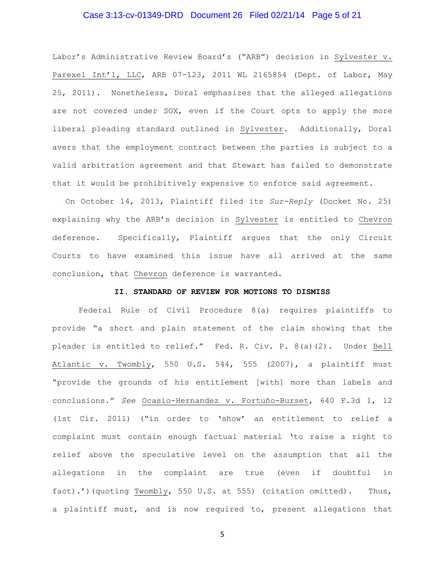# Case 3:13-cv-01349-DRD Document 26 Filed 02/21/14 Page 5 of 21

Labor's Administrative Review Board's ("ARB") decision in Sylvester v. Parexel Int'l, LLC, ARB 07-123, 2011 WL 2165854 (Dept. of Labor, May 25, 2011). Nonetheless, Doral emphasizes that the alleged allegations are not covered under SOX, even if the Court opts to apply the more liberal pleading standard outlined in Sylvester. Additionally, Doral avers that the employment contract between the parties is subject to a valid arbitration agreement and that Stewart has failed to demonstrate that it would be prohibitively expensive to enforce said agreement.

On October 14, 2013, Plaintiff filed its *Sur-Reply* (Docket No. 25) explaining why the ARB's decision in Sylvester is entitled to Chevron deference. Specifically, Plaintiff argues that the only Circuit Courts to have examined this issue have all arrived at the same conclusion, that Chevron deference is warranted.

#### **II. STANDARD OF REVIEW FOR MOTIONS TO DISMISS**

Federal Rule of Civil Procedure 8(a) requires plaintiffs to provide "a short and plain statement of the claim showing that the pleader is entitled to relief." Fed. R. Civ. P. 8(a)(2). Under Bell Atlantic v. Twombly, 550 U.S. 544, 555 (2007), a plaintiff must "provide the grounds of his entitlement [with] more than labels and conclusions." *See* Ocasio-Hernandez v. Fortuño-Burset, 640 F.3d 1, 12 (1st Cir. 2011) ("in order to 'show' an entitlement to relief a complaint must contain enough factual material 'to raise a right to relief above the speculative level on the assumption that all the allegations in the complaint are true (even if doubtful in fact).')(quoting Twombly, 550 U.S. at 555) (citation omitted). Thus, a plaintiff must, and is now required to, present allegations that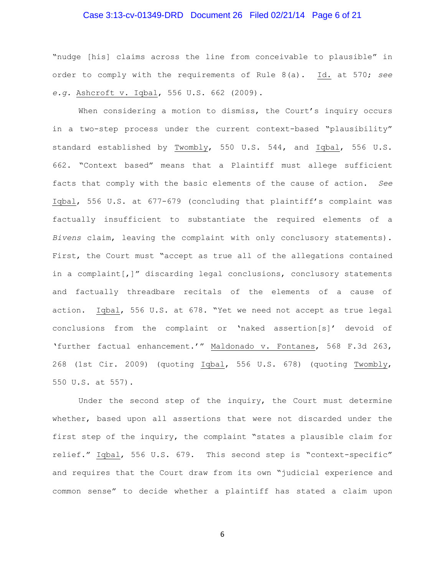# Case 3:13-cv-01349-DRD Document 26 Filed 02/21/14 Page 6 of 21

"nudge [his] claims across the line from conceivable to plausible" in order to comply with the requirements of Rule 8(a). Id. at 570; *see e.g.* Ashcroft v. Iqbal, 556 U.S. 662 (2009).

When considering a motion to dismiss, the Court's inquiry occurs in a two-step process under the current context-based "plausibility" standard established by Twombly, 550 U.S. 544, and Iqbal, 556 U.S. 662. "Context based" means that a Plaintiff must allege sufficient facts that comply with the basic elements of the cause of action. *See* Iqbal, 556 U.S. at 677-679 (concluding that plaintiff's complaint was factually insufficient to substantiate the required elements of a *Bivens* claim, leaving the complaint with only conclusory statements). First, the Court must "accept as true all of the allegations contained in a complaint[,]" discarding legal conclusions, conclusory statements and factually threadbare recitals of the elements of a cause of action. Iqbal, 556 U.S. at 678. "Yet we need not accept as true legal conclusions from the complaint or 'naked assertion[s]' devoid of 'further factual enhancement.'" Maldonado v. Fontanes, 568 F.3d 263, 268 (1st Cir. 2009) (quoting Iqbal, 556 U.S. 678) (quoting Twombly, 550 U.S. at 557).

Under the second step of the inquiry, the Court must determine whether, based upon all assertions that were not discarded under the first step of the inquiry, the complaint "states a plausible claim for relief." Iqbal, 556 U.S. 679. This second step is "context-specific" and requires that the Court draw from its own "judicial experience and common sense" to decide whether a plaintiff has stated a claim upon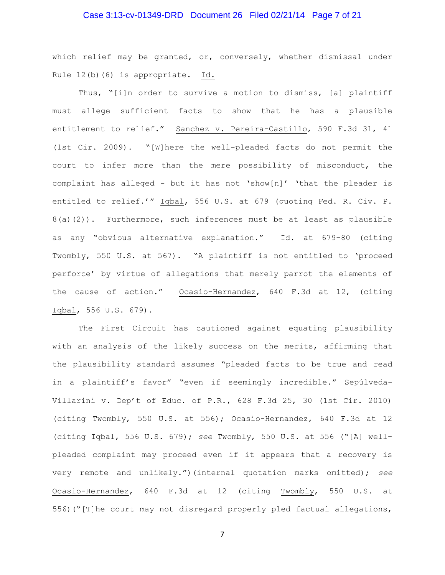# Case 3:13-cv-01349-DRD Document 26 Filed 02/21/14 Page 7 of 21

which relief may be granted, or, conversely, whether dismissal under Rule 12(b)(6) is appropriate. Id.

Thus, "[i]n order to survive a motion to dismiss, [a] plaintiff must allege sufficient facts to show that he has a plausible entitlement to relief." Sanchez v. Pereira-Castillo, 590 F.3d 31, 41 (1st Cir. 2009). "[W]here the well-pleaded facts do not permit the court to infer more than the mere possibility of misconduct, the complaint has alleged - but it has not 'show[n]' 'that the pleader is entitled to relief.'" Iqbal, 556 U.S. at 679 (quoting Fed. R. Civ. P. 8(a)(2)). Furthermore, such inferences must be at least as plausible as any "obvious alternative explanation." Id. at 679-80 (citing Twombly, 550 U.S. at 567). "A plaintiff is not entitled to 'proceed perforce' by virtue of allegations that merely parrot the elements of the cause of action." Ocasio-Hernandez, 640 F.3d at 12, (citing Iqbal, 556 U.S. 679).

The First Circuit has cautioned against equating plausibility with an analysis of the likely success on the merits, affirming that the plausibility standard assumes "pleaded facts to be true and read in a plaintiff's favor" "even if seemingly incredible." Sepúlveda-Villarini v. Dep't of Educ. of P.R., 628 F.3d 25, 30 (1st Cir. 2010) (citing Twombly, 550 U.S. at 556); Ocasio-Hernandez, 640 F.3d at 12 (citing Iqbal, 556 U.S. 679); *see* Twombly, 550 U.S. at 556 ("[A] wellpleaded complaint may proceed even if it appears that a recovery is very remote and unlikely.")(internal quotation marks omitted); *see*  Ocasio-Hernandez, 640 F.3d at 12 (citing Twombly, 550 U.S. at 556)("[T]he court may not disregard properly pled factual allegations,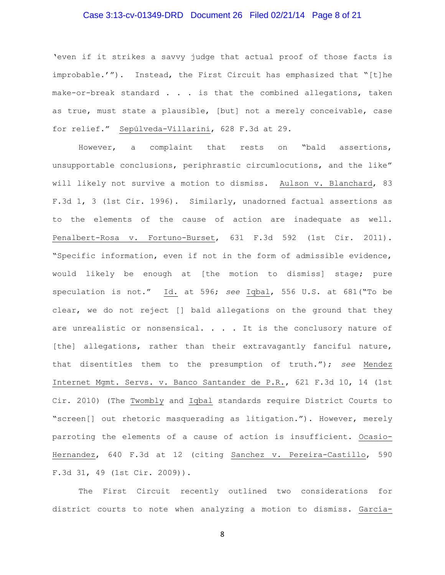# Case 3:13-cv-01349-DRD Document 26 Filed 02/21/14 Page 8 of 21

'even if it strikes a savvy judge that actual proof of those facts is improbable.'"). Instead, the First Circuit has emphasized that "[t]he make-or-break standard . . . is that the combined allegations, taken as true, must state a plausible, [but] not a merely conceivable, case for relief." Sepúlveda-Villarini, 628 F.3d at 29.

However, a complaint that rests on "bald assertions, unsupportable conclusions, periphrastic circumlocutions, and the like" will likely not survive a motion to dismiss. Aulson v. Blanchard, 83 F.3d 1, 3 (1st Cir. 1996). Similarly, unadorned factual assertions as to the elements of the cause of action are inadequate as well. Penalbert-Rosa v. Fortuno-Burset, 631 F.3d 592 (1st Cir. 2011). "Specific information, even if not in the form of admissible evidence, would likely be enough at [the motion to dismiss] stage; pure speculation is not." Id. at 596; *see* Iqbal, 556 U.S. at 681("To be clear, we do not reject [] bald allegations on the ground that they are unrealistic or nonsensical. . . . It is the conclusory nature of [the] allegations, rather than their extravagantly fanciful nature, that disentitles them to the presumption of truth."); *see* Mendez Internet Mgmt. Servs. v. Banco Santander de P.R., 621 F.3d 10, 14 (1st Cir. 2010) (The Twombly and Iqbal standards require District Courts to "screen[] out rhetoric masquerading as litigation."). However, merely parroting the elements of a cause of action is insufficient. Ocasio-Hernandez, 640 F.3d at 12 (citing Sanchez v. Pereira-Castillo, 590 F.3d 31, 49 (1st Cir. 2009)).

The First Circuit recently outlined two considerations for district courts to note when analyzing a motion to dismiss. García-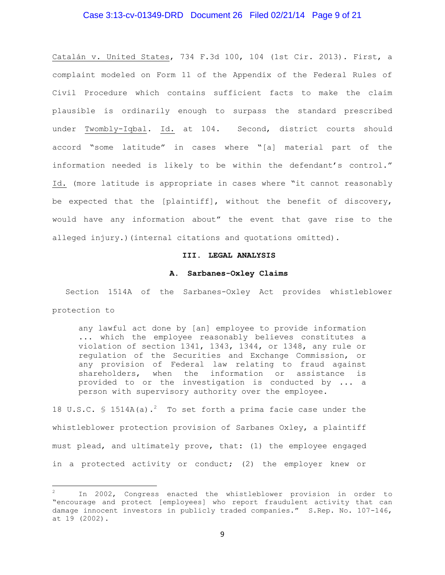# Case 3:13-cv-01349-DRD Document 26 Filed 02/21/14 Page 9 of 21

Catalán v. United States, 734 F.3d 100, 104 (1st Cir. 2013). First, a complaint modeled on Form 11 of the Appendix of the Federal Rules of Civil Procedure which contains sufficient facts to make the claim plausible is ordinarily enough to surpass the standard prescribed under Twombly-Iqbal. Id. at 104. Second, district courts should accord "some latitude" in cases where "[a] material part of the information needed is likely to be within the defendant's control." Id. (more latitude is appropriate in cases where "it cannot reasonably be expected that the [plaintiff], without the benefit of discovery, would have any information about" the event that gave rise to the alleged injury.)(internal citations and quotations omitted).

# **III. LEGAL ANALYSIS**

#### **A. Sarbanes-Oxley Claims**

Section 1514A of the Sarbanes-Oxley Act provides whistleblower protection to

any lawful act done by [an] employee to provide information ... which the employee reasonably believes constitutes a violation of section 1341, 1343, 1344, or 1348, any rule or regulation of the Securities and Exchange Commission, or any provision of Federal law relating to fraud against shareholders, when the information or assistance is provided to or the investigation is conducted by ... a person with supervisory authority over the employee.

18 U.S.C. § 1514A(a).<sup>2</sup> To set forth a prima facie case under the whistleblower protection provision of Sarbanes Oxley, a plaintiff must plead, and ultimately prove, that: (1) the employee engaged in a protected activity or conduct; (2) the employer knew or

l

<sup>2</sup> In 2002, Congress enacted the whistleblower provision in order to "encourage and protect [employees] who report fraudulent activity that can damage innocent investors in publicly traded companies." S.Rep. No. 107-146, at 19 (2002).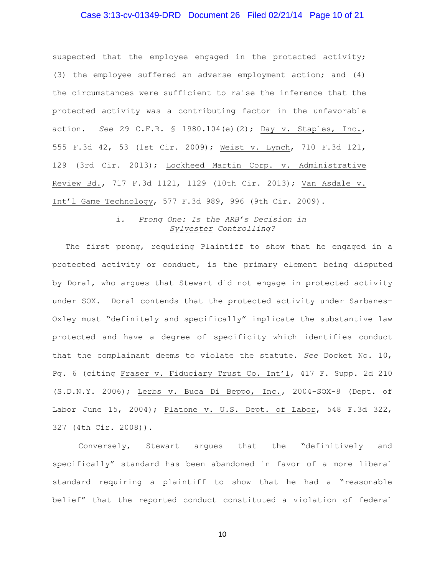# Case 3:13-cv-01349-DRD Document 26 Filed 02/21/14 Page 10 of 21

suspected that the employee engaged in the protected activity; (3) the employee suffered an adverse employment action; and (4) the circumstances were sufficient to raise the inference that the protected activity was a contributing factor in the unfavorable action. *See* 29 C.F.R. § 1980.104(e)(2); Day v. Staples, Inc., 555 F.3d 42, 53 (1st Cir. 2009); Weist v. Lynch, 710 F.3d 121, 129 (3rd Cir. 2013); Lockheed Martin Corp. v. Administrative Review Bd., 717 F.3d 1121, 1129 (10th Cir. 2013); Van Asdale v. Int'l Game Technology, 577 F.3d 989, 996 (9th Cir. 2009).

# *i. Prong One: Is the ARB's Decision in Sylvester Controlling?*

The first prong, requiring Plaintiff to show that he engaged in a protected activity or conduct, is the primary element being disputed by Doral, who argues that Stewart did not engage in protected activity under SOX. Doral contends that the protected activity under Sarbanes-Oxley must "definitely and specifically" implicate the substantive law protected and have a degree of specificity which identifies conduct that the complainant deems to violate the statute. *See* Docket No. 10, Pg. 6 (citing Fraser v. Fiduciary Trust Co. Int'l, 417 F. Supp. 2d 210 (S.D.N.Y. 2006); Lerbs v. Buca Di Beppo, Inc., 2004-SOX-8 (Dept. of Labor June 15, 2004); Platone v. U.S. Dept. of Labor, 548 F.3d 322, 327 (4th Cir. 2008)).

Conversely, Stewart argues that the "definitively and specifically" standard has been abandoned in favor of a more liberal standard requiring a plaintiff to show that he had a "reasonable belief" that the reported conduct constituted a violation of federal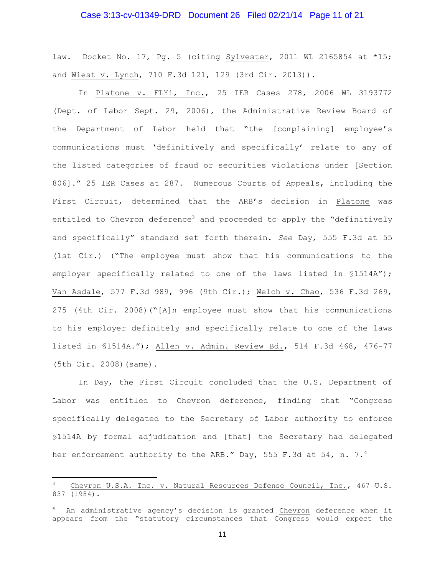# Case 3:13-cv-01349-DRD Document 26 Filed 02/21/14 Page 11 of 21

law. Docket No. 17, Pg. 5 (citing Sylvester, 2011 WL 2165854 at \*15; and Wiest v. Lynch, 710 F.3d 121, 129 (3rd Cir. 2013)).

In Platone v. FLYi, Inc., 25 IER Cases 278, 2006 WL 3193772 (Dept. of Labor Sept. 29, 2006), the Administrative Review Board of the Department of Labor held that "the [complaining] employee's communications must 'definitively and specifically' relate to any of the listed categories of fraud or securities violations under [Section 806]." 25 IER Cases at 287. Numerous Courts of Appeals, including the First Circuit, determined that the ARB's decision in Platone was entitled to Chevron deference<sup>3</sup> and proceeded to apply the "definitively and specifically" standard set forth therein. *See* Day, 555 F.3d at 55 (1st Cir.) ("The employee must show that his communications to the employer specifically related to one of the laws listed in §1514A"); Van Asdale, 577 F.3d 989, 996 (9th Cir.); Welch v. Chao, 536 F.3d 269, 275 (4th Cir. 2008)("[A]n employee must show that his communications to his employer definitely and specifically relate to one of the laws listed in §1514A."); Allen v. Admin. Review Bd., 514 F.3d 468, 476-77 (5th Cir. 2008)(same).

In Day, the First Circuit concluded that the U.S. Department of Labor was entitled to Chevron deference, finding that "Congress specifically delegated to the Secretary of Labor authority to enforce §1514A by formal adjudication and [that] the Secretary had delegated her enforcement authority to the ARB." Day, 555 F.3d at 54, n. 7. $^4$ 

l

Chevron U.S.A. Inc. v. Natural Resources Defense Council, Inc., 467 U.S. 837 (1984).

<sup>4</sup> An administrative agency's decision is granted Chevron deference when it appears from the "statutory circumstances that Congress would expect the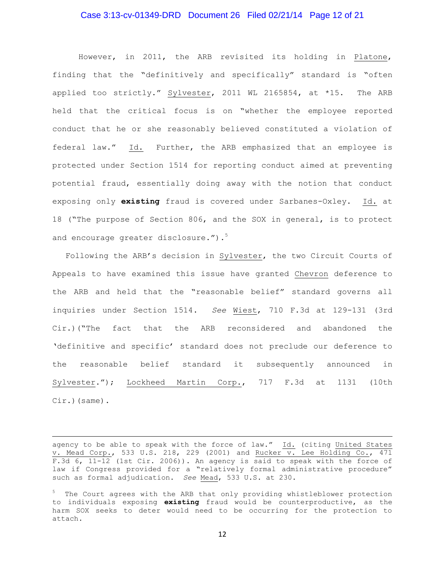# Case 3:13-cv-01349-DRD Document 26 Filed 02/21/14 Page 12 of 21

However, in 2011, the ARB revisited its holding in Platone, finding that the "definitively and specifically" standard is "often applied too strictly." Sylvester, 2011 WL 2165854, at \*15. The ARB held that the critical focus is on "whether the employee reported conduct that he or she reasonably believed constituted a violation of federal law." Id. Further, the ARB emphasized that an employee is protected under Section 1514 for reporting conduct aimed at preventing potential fraud, essentially doing away with the notion that conduct exposing only **existing** fraud is covered under Sarbanes-Oxley. Id. at 18 ("The purpose of Section 806, and the SOX in general, is to protect and encourage greater disclosure."). $5$ 

Following the ARB's decision in Sylvester, the two Circuit Courts of Appeals to have examined this issue have granted Chevron deference to the ARB and held that the "reasonable belief" standard governs all inquiries under Section 1514. *See* Wiest, 710 F.3d at 129-131 (3rd Cir.)("The fact that the ARB reconsidered and abandoned the 'definitive and specific' standard does not preclude our deference to the reasonable belief standard it subsequently announced in Sylvester."); Lockheed Martin Corp., 717 F.3d at 1131 (10th Cir.)(same).

 $\overline{a}$ 

agency to be able to speak with the force of law." Id. (citing United States v. Mead Corp., 533 U.S. 218, 229 (2001) and Rucker  $\overline{v}$ . Lee Holding Co., 471 F.3d 6, 11-12 (1st Cir. 2006)). An agency is said to speak with the force of law if Congress provided for a "relatively formal administrative procedure" such as formal adjudication. *See* Mead, 533 U.S. at 230.

<sup>&</sup>lt;sup>5</sup> The Court agrees with the ARB that only providing whistleblower protection to individuals exposing **existing** fraud would be counterproductive, as the harm SOX seeks to deter would need to be occurring for the protection to attach.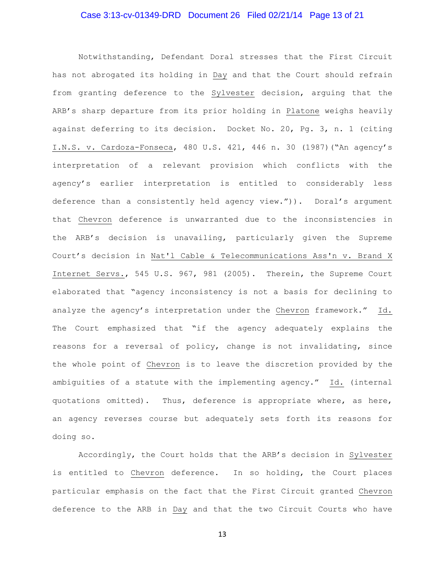# Case 3:13-cv-01349-DRD Document 26 Filed 02/21/14 Page 13 of 21

Notwithstanding, Defendant Doral stresses that the First Circuit has not abrogated its holding in Day and that the Court should refrain from granting deference to the Sylvester decision, arguing that the ARB's sharp departure from its prior holding in Platone weighs heavily against deferring to its decision. Docket No. 20, Pg. 3, n. 1 (citing I.N.S. v. Cardoza-Fonseca, 480 U.S. 421, 446 n. 30 (1987)("An agency's interpretation of a relevant provision which conflicts with the agency's earlier interpretation is entitled to considerably less deference than a consistently held agency view.")). Doral's argument that Chevron deference is unwarranted due to the inconsistencies in the ARB's decision is unavailing, particularly given the Supreme Court's decision in Nat'l Cable & Telecommunications Ass'n v. Brand X Internet Servs., 545 U.S. 967, 981 (2005). Therein, the Supreme Court elaborated that "agency inconsistency is not a basis for declining to analyze the agency's interpretation under the Chevron framework." Id. The Court emphasized that "if the agency adequately explains the reasons for a reversal of policy, change is not invalidating, since the whole point of Chevron is to leave the discretion provided by the ambiguities of a statute with the implementing agency." Id. (internal quotations omitted). Thus, deference is appropriate where, as here, an agency reverses course but adequately sets forth its reasons for doing so.

Accordingly, the Court holds that the ARB's decision in Sylvester is entitled to Chevron deference. In so holding, the Court places particular emphasis on the fact that the First Circuit granted Chevron deference to the ARB in Day and that the two Circuit Courts who have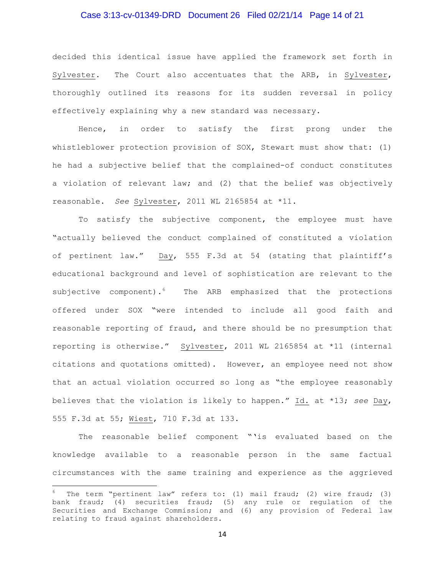# Case 3:13-cv-01349-DRD Document 26 Filed 02/21/14 Page 14 of 21

decided this identical issue have applied the framework set forth in Sylvester. The Court also accentuates that the ARB, in Sylvester, thoroughly outlined its reasons for its sudden reversal in policy effectively explaining why a new standard was necessary.

Hence, in order to satisfy the first prong under the whistleblower protection provision of SOX, Stewart must show that: (1) he had a subjective belief that the complained-of conduct constitutes a violation of relevant law; and (2) that the belief was objectively reasonable. *See* Sylvester, 2011 WL 2165854 at \*11.

To satisfy the subjective component, the employee must have "actually believed the conduct complained of constituted a violation of pertinent law." Day, 555 F.3d at 54 (stating that plaintiff's educational background and level of sophistication are relevant to the subjective component). <sup>6</sup> The ARB emphasized that the protections offered under SOX "were intended to include all good faith and reasonable reporting of fraud, and there should be no presumption that reporting is otherwise." Sylvester, 2011 WL 2165854 at \*11 (internal citations and quotations omitted). However, an employee need not show that an actual violation occurred so long as "the employee reasonably believes that the violation is likely to happen." Id. at \*13; *see* Day, 555 F.3d at 55; Wiest, 710 F.3d at 133.

The reasonable belief component "'is evaluated based on the knowledge available to a reasonable person in the same factual circumstances with the same training and experience as the aggrieved

l

 $6$  The term "pertinent law" refers to: (1) mail fraud; (2) wire fraud; (3) bank fraud; (4) securities fraud; (5) any rule or regulation of the Securities and Exchange Commission; and (6) any provision of Federal law relating to fraud against shareholders.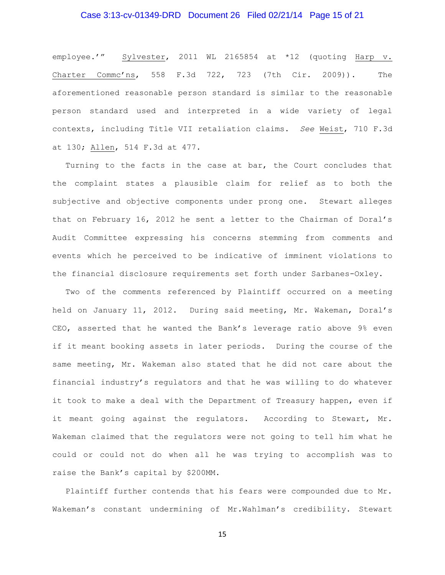# Case 3:13-cv-01349-DRD Document 26 Filed 02/21/14 Page 15 of 21

employee.'" Sylvester, 2011 WL 2165854 at \*12 (quoting Harp v. Charter Commc'ns, 558 F.3d 722, 723 (7th Cir. 2009)). The aforementioned reasonable person standard is similar to the reasonable person standard used and interpreted in a wide variety of legal contexts, including Title VII retaliation claims. *See* Weist, 710 F.3d at 130; Allen, 514 F.3d at 477.

Turning to the facts in the case at bar, the Court concludes that the complaint states a plausible claim for relief as to both the subjective and objective components under prong one. Stewart alleges that on February 16, 2012 he sent a letter to the Chairman of Doral's Audit Committee expressing his concerns stemming from comments and events which he perceived to be indicative of imminent violations to the financial disclosure requirements set forth under Sarbanes-Oxley.

Two of the comments referenced by Plaintiff occurred on a meeting held on January 11, 2012. During said meeting, Mr. Wakeman, Doral's CEO, asserted that he wanted the Bank's leverage ratio above 9% even if it meant booking assets in later periods. During the course of the same meeting, Mr. Wakeman also stated that he did not care about the financial industry's regulators and that he was willing to do whatever it took to make a deal with the Department of Treasury happen, even if it meant going against the regulators. According to Stewart, Mr. Wakeman claimed that the regulators were not going to tell him what he could or could not do when all he was trying to accomplish was to raise the Bank's capital by \$200MM.

Plaintiff further contends that his fears were compounded due to Mr. Wakeman's constant undermining of Mr.Wahlman's credibility. Stewart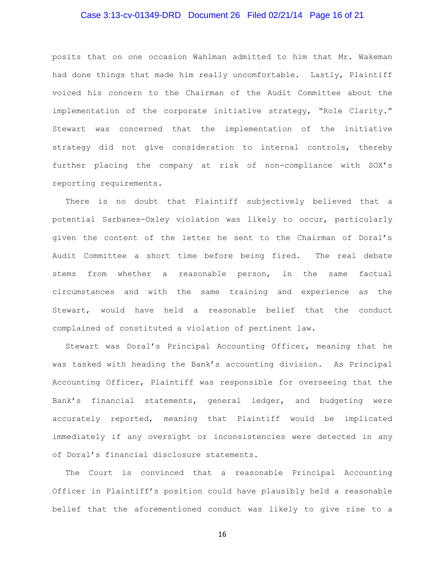# Case 3:13-cv-01349-DRD Document 26 Filed 02/21/14 Page 16 of 21

posits that on one occasion Wahlman admitted to him that Mr. Wakeman had done things that made him really uncomfortable. Lastly, Plaintiff voiced his concern to the Chairman of the Audit Committee about the implementation of the corporate initiative strategy, "Role Clarity." Stewart was concerned that the implementation of the initiative strategy did not give consideration to internal controls, thereby further placing the company at risk of non-compliance with SOX's reporting requirements.

There is no doubt that Plaintiff subjectively believed that a potential Sarbanes-Oxley violation was likely to occur, particularly given the content of the letter he sent to the Chairman of Doral's Audit Committee a short time before being fired. The real debate stems from whether a reasonable person, in the same factual circumstances and with the same training and experience as the Stewart, would have held a reasonable belief that the conduct complained of constituted a violation of pertinent law.

Stewart was Doral's Principal Accounting Officer, meaning that he was tasked with heading the Bank's accounting division. As Principal Accounting Officer, Plaintiff was responsible for overseeing that the Bank's financial statements, general ledger, and budgeting were accurately reported, meaning that Plaintiff would be implicated immediately if any oversight or inconsistencies were detected in any of Doral's financial disclosure statements.

The Court is convinced that a reasonable Principal Accounting Officer in Plaintiff's position could have plausibly held a reasonable belief that the aforementioned conduct was likely to give rise to a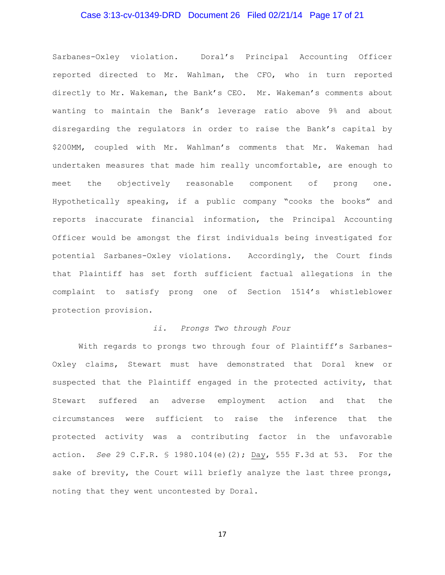# Case 3:13-cv-01349-DRD Document 26 Filed 02/21/14 Page 17 of 21

Sarbanes-Oxley violation. Doral's Principal Accounting Officer reported directed to Mr. Wahlman, the CFO, who in turn reported directly to Mr. Wakeman, the Bank's CEO. Mr. Wakeman's comments about wanting to maintain the Bank's leverage ratio above 9% and about disregarding the regulators in order to raise the Bank's capital by \$200MM, coupled with Mr. Wahlman's comments that Mr. Wakeman had undertaken measures that made him really uncomfortable, are enough to meet the objectively reasonable component of prong one. Hypothetically speaking, if a public company "cooks the books" and reports inaccurate financial information, the Principal Accounting Officer would be amongst the first individuals being investigated for potential Sarbanes-Oxley violations. Accordingly, the Court finds that Plaintiff has set forth sufficient factual allegations in the complaint to satisfy prong one of Section 1514's whistleblower protection provision.

#### *ii. Prongs Two through Four*

With regards to prongs two through four of Plaintiff's Sarbanes-Oxley claims, Stewart must have demonstrated that Doral knew or suspected that the Plaintiff engaged in the protected activity, that Stewart suffered an adverse employment action and that the circumstances were sufficient to raise the inference that the protected activity was a contributing factor in the unfavorable action. *See* 29 C.F.R. § 1980.104(e)(2); Day, 555 F.3d at 53. For the sake of brevity, the Court will briefly analyze the last three prongs, noting that they went uncontested by Doral.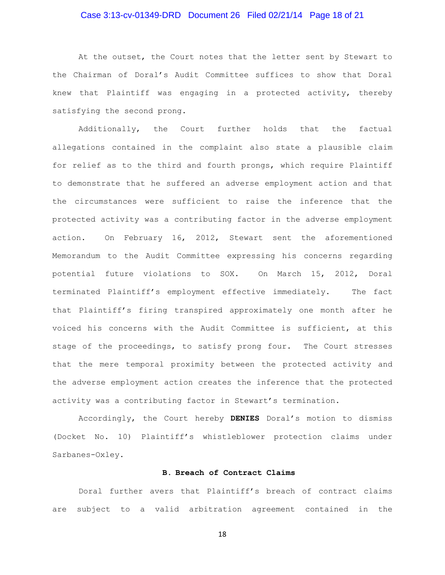# Case 3:13-cv-01349-DRD Document 26 Filed 02/21/14 Page 18 of 21

At the outset, the Court notes that the letter sent by Stewart to the Chairman of Doral's Audit Committee suffices to show that Doral knew that Plaintiff was engaging in a protected activity, thereby satisfying the second prong.

Additionally, the Court further holds that the factual allegations contained in the complaint also state a plausible claim for relief as to the third and fourth prongs, which require Plaintiff to demonstrate that he suffered an adverse employment action and that the circumstances were sufficient to raise the inference that the protected activity was a contributing factor in the adverse employment action. On February 16, 2012, Stewart sent the aforementioned Memorandum to the Audit Committee expressing his concerns regarding potential future violations to SOX. On March 15, 2012, Doral terminated Plaintiff's employment effective immediately. The fact that Plaintiff's firing transpired approximately one month after he voiced his concerns with the Audit Committee is sufficient, at this stage of the proceedings, to satisfy prong four. The Court stresses that the mere temporal proximity between the protected activity and the adverse employment action creates the inference that the protected activity was a contributing factor in Stewart's termination.

Accordingly, the Court hereby **DENIES** Doral's motion to dismiss (Docket No. 10) Plaintiff's whistleblower protection claims under Sarbanes-Oxley.

#### **B. Breach of Contract Claims**

Doral further avers that Plaintiff's breach of contract claims are subject to a valid arbitration agreement contained in the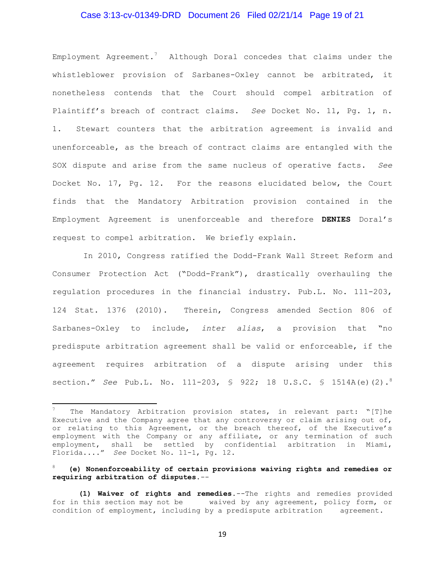#### Case 3:13-cv-01349-DRD Document 26 Filed 02/21/14 Page 19 of 21

Employment Agreement.<sup>7</sup> Although Doral concedes that claims under the whistleblower provision of Sarbanes-Oxley cannot be arbitrated, it nonetheless contends that the Court should compel arbitration of Plaintiff's breach of contract claims. *See* Docket No. 11, Pg. 1, n. 1. Stewart counters that the arbitration agreement is invalid and unenforceable, as the breach of contract claims are entangled with the SOX dispute and arise from the same nucleus of operative facts. *See* Docket No. 17, Pg. 12. For the reasons elucidated below, the Court finds that the Mandatory Arbitration provision contained in the Employment Agreement is unenforceable and therefore **DENIES** Doral's request to compel arbitration. We briefly explain.

In 2010, Congress ratified the Dodd-Frank Wall Street Reform and Consumer Protection Act ("Dodd-Frank"), drastically overhauling the regulation procedures in the financial industry. Pub.L. No. 111-203, 124 Stat. 1376 (2010). Therein, Congress amended Section 806 of Sarbanes-Oxley to include, *inter alias*, a provision that "no predispute arbitration agreement shall be valid or enforceable, if the agreement requires arbitration of a dispute arising under this section." *See* Pub.L. No. 111-203, § 922; 18 U.S.C. § 1514A(e)(2).<sup>8</sup>

 $\overline{a}$ 

#### <sup>8</sup> **(e) Nonenforceability of certain provisions waiving rights and remedies or requiring arbitration of disputes.**--

The Mandatory Arbitration provision states, in relevant part: "[T]he Executive and the Company agree that any controversy or claim arising out of, or relating to this Agreement, or the breach thereof, of the Executive's employment with the Company or any affiliate, or any termination of such employment, shall be settled by confidential arbitration in Miami, Florida...." *See* Docket No. 11-1, Pg. 12.

**<sup>(1)</sup> Waiver of rights and remedies.**--The rights and remedies provided for in this section may not be waived by any agreement, policy form, or condition of employment, including by a predispute arbitration agreement.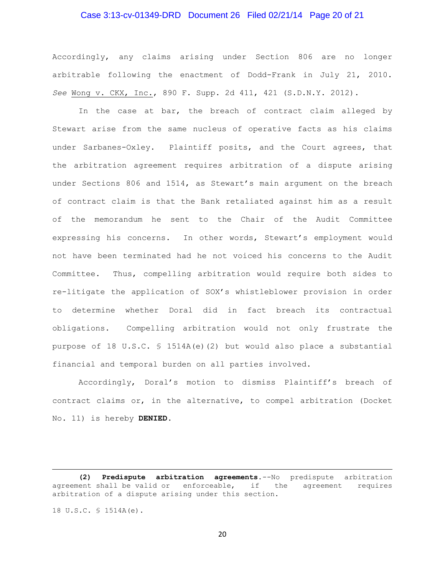# Case 3:13-cv-01349-DRD Document 26 Filed 02/21/14 Page 20 of 21

Accordingly, any claims arising under Section 806 are no longer arbitrable following the enactment of Dodd-Frank in July 21, 2010. *See* Wong v. CKX, Inc., 890 F. Supp. 2d 411, 421 (S.D.N.Y. 2012).

In the case at bar, the breach of contract claim alleged by Stewart arise from the same nucleus of operative facts as his claims under Sarbanes-Oxley. Plaintiff posits, and the Court agrees, that the arbitration agreement requires arbitration of a dispute arising under Sections 806 and 1514, as Stewart's main argument on the breach of contract claim is that the Bank retaliated against him as a result of the memorandum he sent to the Chair of the Audit Committee expressing his concerns. In other words, Stewart's employment would not have been terminated had he not voiced his concerns to the Audit Committee. Thus, compelling arbitration would require both sides to re-litigate the application of SOX's whistleblower provision in order to determine whether Doral did in fact breach its contractual obligations. Compelling arbitration would not only frustrate the purpose of 18 U.S.C. § 1514A(e)(2) but would also place a substantial financial and temporal burden on all parties involved.

Accordingly, Doral's motion to dismiss Plaintiff's breach of contract claims or, in the alternative, to compel arbitration (Docket No. 11) is hereby **DENIED**.

 $\overline{a}$ 

**<sup>(2)</sup> Predispute arbitration agreements.**--No predispute arbitration agreement shall be valid or enforceable, if the agreement requires arbitration of a dispute arising under this section.

<sup>18</sup> U.S.C. § 1514A(e).